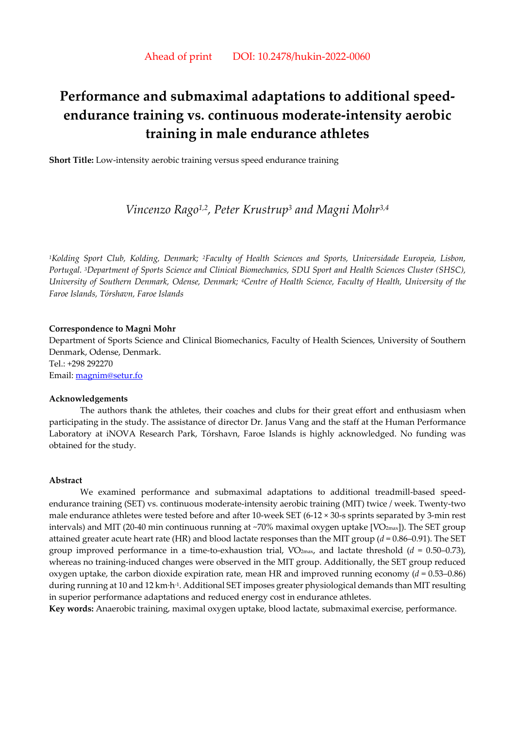# **Performance and submaximal adaptations to additional speedendurance training vs. continuous moderate-intensity aerobic training in male endurance athletes**

**Short Title:** Low-intensity aerobic training versus speed endurance training

# *Vincenzo Rago1,2, Peter Krustrup3 and Magni Mohr3,4*

*1Kolding Sport Club, Kolding, Denmark; 2Faculty of Health Sciences and Sports, Universidade Europeia, Lisbon, Portugal. 3Department of Sports Science and Clinical Biomechanics, SDU Sport and Health Sciences Cluster (SHSC), University of Southern Denmark, Odense, Denmark; 4Centre of Health Science, Faculty of Health, University of the Faroe Islands, Tórshavn, Faroe Islands* 

#### **Correspondence to Magni Mohr**

Department of Sports Science and Clinical Biomechanics, Faculty of Health Sciences, University of Southern Denmark, Odense, Denmark. Tel.: +298 292270 Email: magnim@setur.fo

#### **Acknowledgements**

The authors thank the athletes, their coaches and clubs for their great effort and enthusiasm when participating in the study. The assistance of director Dr. Janus Vang and the staff at the Human Performance Laboratory at iNOVA Research Park, Tórshavn, Faroe Islands is highly acknowledged. No funding was obtained for the study.

### **Abstract**

We examined performance and submaximal adaptations to additional treadmill-based speedendurance training (SET) vs. continuous moderate-intensity aerobic training (MIT) twice / week. Twenty-two male endurance athletes were tested before and after 10-week SET (6-12 × 30-s sprints separated by 3-min rest intervals) and MIT (20-40 min continuous running at  $\sim$ 70% maximal oxygen uptake [VO $_{2\text{max}}$ ]). The SET group attained greater acute heart rate (HR) and blood lactate responses than the MIT group (*d* = 0.86–0.91). The SET group improved performance in a time-to-exhaustion trial,  $VO_{2max}$ , and lactate threshold ( $d = 0.50{\text -}0.73$ ), whereas no training-induced changes were observed in the MIT group. Additionally, the SET group reduced oxygen uptake, the carbon dioxide expiration rate, mean HR and improved running economy  $(d = 0.53-0.86)$ during running at 10 and 12 km·h-1. Additional SET imposes greater physiological demands than MIT resulting in superior performance adaptations and reduced energy cost in endurance athletes.

**Key words:** Anaerobic training, maximal oxygen uptake, blood lactate, submaximal exercise, performance.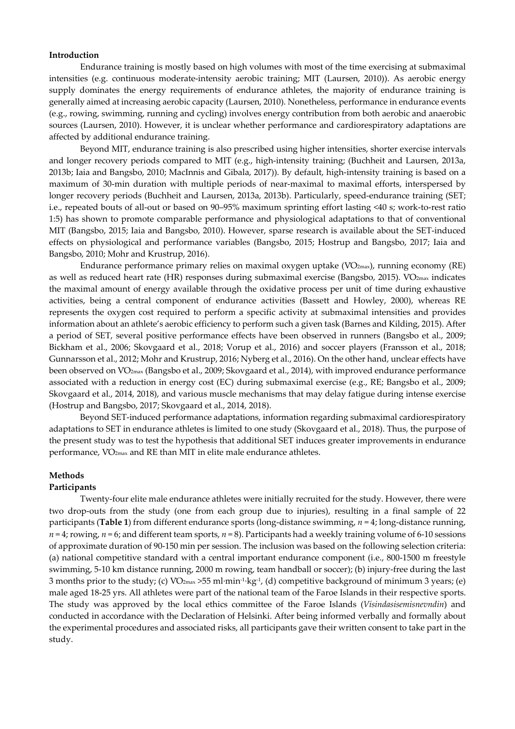#### **Introduction**

Endurance training is mostly based on high volumes with most of the time exercising at submaximal intensities (e.g. continuous moderate-intensity aerobic training; MIT (Laursen, 2010)). As aerobic energy supply dominates the energy requirements of endurance athletes, the majority of endurance training is generally aimed at increasing aerobic capacity (Laursen, 2010). Nonetheless, performance in endurance events (e.g., rowing, swimming, running and cycling) involves energy contribution from both aerobic and anaerobic sources (Laursen, 2010). However, it is unclear whether performance and cardiorespiratory adaptations are affected by additional endurance training.

Beyond MIT, endurance training is also prescribed using higher intensities, shorter exercise intervals and longer recovery periods compared to MIT (e.g., high-intensity training; (Buchheit and Laursen, 2013a, 2013b; Iaia and Bangsbo, 2010; MacInnis and Gibala, 2017)). By default, high-intensity training is based on a maximum of 30-min duration with multiple periods of near-maximal to maximal efforts, interspersed by longer recovery periods (Buchheit and Laursen, 2013a, 2013b). Particularly, speed-endurance training (SET; i.e., repeated bouts of all-out or based on 90–95% maximum sprinting effort lasting <40 s; work-to-rest ratio 1:5) has shown to promote comparable performance and physiological adaptations to that of conventional MIT (Bangsbo, 2015; Iaia and Bangsbo, 2010). However, sparse research is available about the SET-induced effects on physiological and performance variables (Bangsbo, 2015; Hostrup and Bangsbo, 2017; Iaia and Bangsbo, 2010; Mohr and Krustrup, 2016).

Endurance performance primary relies on maximal oxygen uptake ( $VO_{2max}$ ), running economy (RE) as well as reduced heart rate (HR) responses during submaximal exercise (Bangsbo, 2015). VO<sub>2max</sub> indicates the maximal amount of energy available through the oxidative process per unit of time during exhaustive activities, being a central component of endurance activities (Bassett and Howley, 2000), whereas RE represents the oxygen cost required to perform a specific activity at submaximal intensities and provides information about an athlete's aerobic efficiency to perform such a given task (Barnes and Kilding, 2015). After a period of SET, several positive performance effects have been observed in runners (Bangsbo et al., 2009; Bickham et al., 2006; Skovgaard et al., 2018; Vorup et al., 2016) and soccer players (Fransson et al., 2018; Gunnarsson et al., 2012; Mohr and Krustrup, 2016; Nyberg et al., 2016). On the other hand, unclear effects have been observed on V̇O2max (Bangsbo et al., 2009; Skovgaard et al., 2014), with improved endurance performance associated with a reduction in energy cost (EC) during submaximal exercise (e.g., RE; Bangsbo et al., 2009; Skovgaard et al., 2014, 2018), and various muscle mechanisms that may delay fatigue during intense exercise (Hostrup and Bangsbo, 2017; Skovgaard et al., 2014, 2018).

Beyond SET-induced performance adaptations, information regarding submaximal cardiorespiratory adaptations to SET in endurance athletes is limited to one study (Skovgaard et al., 2018). Thus, the purpose of the present study was to test the hypothesis that additional SET induces greater improvements in endurance performance, V̇O2max and RE than MIT in elite male endurance athletes.

#### **Methods**

#### **Participants**

Twenty-four elite male endurance athletes were initially recruited for the study. However, there were two drop-outs from the study (one from each group due to injuries), resulting in a final sample of 22 participants (**Table 1**) from different endurance sports (long-distance swimming, *n* = 4; long-distance running, *n* = 4; rowing, *n* = 6; and different team sports, *n* = 8). Participants had a weekly training volume of 6-10 sessions of approximate duration of 90-150 min per session. The inclusion was based on the following selection criteria: (a) national competitive standard with a central important endurance component (i.e., 800-1500 m freestyle swimming, 5-10 km distance running, 2000 m rowing, team handball or soccer); (b) injury-free during the last 3 months prior to the study; (c)  $VO_{2max} > 55$  ml·min<sup>-1</sup>·kg<sup>-1</sup>, (d) competitive background of minimum 3 years; (e) male aged 18-25 yrs. All athletes were part of the national team of the Faroe Islands in their respective sports. The study was approved by the local ethics committee of the Faroe Islands (*Vísindasisemisnevndin*) and conducted in accordance with the Declaration of Helsinki. After being informed verbally and formally about the experimental procedures and associated risks, all participants gave their written consent to take part in the study.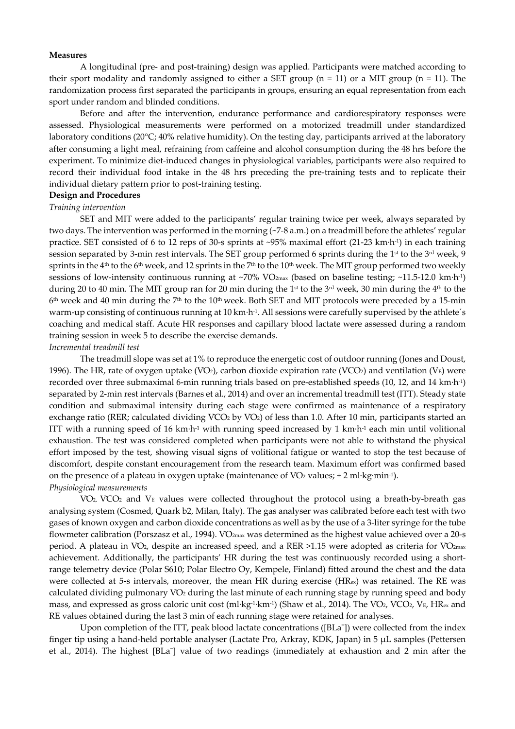#### **Measures**

A longitudinal (pre- and post-training) design was applied. Participants were matched according to their sport modality and randomly assigned to either a SET group  $(n = 11)$  or a MIT group  $(n = 11)$ . The randomization process first separated the participants in groups, ensuring an equal representation from each sport under random and blinded conditions.

Before and after the intervention, endurance performance and cardiorespiratory responses were assessed. Physiological measurements were performed on a motorized treadmill under standardized laboratory conditions (20°C; 40% relative humidity). On the testing day, participants arrived at the laboratory after consuming a light meal, refraining from caffeine and alcohol consumption during the 48 hrs before the experiment. To minimize diet-induced changes in physiological variables, participants were also required to record their individual food intake in the 48 hrs preceding the pre-training tests and to replicate their individual dietary pattern prior to post-training testing.

## **Design and Procedures**

## *Training intervention*

SET and MIT were added to the participants' regular training twice per week, always separated by two days. The intervention was performed in the morning (~7-8 a.m.) on a treadmill before the athletes' regular practice. SET consisted of 6 to 12 reps of 30-s sprints at ~95% maximal effort (21-23 km·h-1) in each training session separated by 3-min rest intervals. The SET group performed 6 sprints during the 1<sup>st</sup> to the 3<sup>rd</sup> week, 9 sprints in the 4<sup>th</sup> to the 6<sup>th</sup> week, and 12 sprints in the 7<sup>th</sup> to the 10<sup>th</sup> week. The MIT group performed two weekly sessions of low-intensity continuous running at ~70% VO<sub>2max</sub> (based on baseline testing; ~11.5-12.0 km·h<sup>-1</sup>) during 20 to 40 min. The MIT group ran for 20 min during the 1<sup>st</sup> to the 3<sup>rd</sup> week, 30 min during the 4<sup>th</sup> to the  $6<sup>th</sup>$  week and 40 min during the 7<sup>th</sup> to the 10<sup>th</sup> week. Both SET and MIT protocols were preceded by a 15-min warm-up consisting of continuous running at 10 km·h<sup>-1</sup>. All sessions were carefully supervised by the athlete's coaching and medical staff. Acute HR responses and capillary blood lactate were assessed during a random training session in week 5 to describe the exercise demands.

## *Incremental treadmill test*

The treadmill slope was set at 1% to reproduce the energetic cost of outdoor running (Jones and Doust, 1996). The HR, rate of oxygen uptake (VO<sub>2</sub>), carbon dioxide expiration rate (VCO<sub>2</sub>) and ventilation (V<sub>E</sub>) were recorded over three submaximal 6-min running trials based on pre-established speeds (10, 12, and 14 km·h-1) separated by 2-min rest intervals (Barnes et al., 2014) and over an incremental treadmill test (ITT). Steady state condition and submaximal intensity during each stage were confirmed as maintenance of a respiratory exchange ratio (RER; calculated dividing VCO<sub>2</sub> by VO<sub>2</sub>) of less than 1.0. After 10 min, participants started an ITT with a running speed of 16 km·h<sup>-1</sup> with running speed increased by 1 km·h<sup>-1</sup> each min until volitional exhaustion. The test was considered completed when participants were not able to withstand the physical effort imposed by the test, showing visual signs of volitional fatigue or wanted to stop the test because of discomfort, despite constant encouragement from the research team. Maximum effort was confirmed based on the presence of a plateau in oxygen uptake (maintenance of  $VO<sub>2</sub>$  values;  $\pm 2$  ml·kg·min<sup>-1</sup>). *Physiological measurements* 

 $VO<sub>2</sub> VCO<sub>2</sub>$  and V<sub>E</sub> values were collected throughout the protocol using a breath-by-breath gas analysing system (Cosmed, Quark b2, Milan, Italy). The gas analyser was calibrated before each test with two gases of known oxygen and carbon dioxide concentrations as well as by the use of a 3-liter syringe for the tube flowmeter calibration (Porszasz et al., 1994). V̇O2max was determined as the highest value achieved over a 20-s period. A plateau in VO<sub>2</sub>, despite an increased speed, and a RER >1.15 were adopted as criteria for VO<sub>2max</sub> achievement. Additionally, the participants' HR during the test was continuously recorded using a shortrange telemetry device (Polar S610; Polar Electro Oy, Kempele, Finland) fitted around the chest and the data were collected at 5-s intervals, moreover, the mean HR during exercise (HR<sub>ex</sub>) was retained. The RE was calculated dividing pulmonary VO<sub>2</sub> during the last minute of each running stage by running speed and body mass, and expressed as gross caloric unit cost (ml·kg<sup>-1</sup>·km<sup>-1</sup>) (Shaw et al., 2014). The VO<sub>2</sub>, VCO<sub>2</sub>, V<sub>E</sub>, HR<sub>ex</sub> and RE values obtained during the last 3 min of each running stage were retained for analyses.

Upon completion of the ITT, peak blood lactate concentrations ([BLa<sup>-</sup>]) were collected from the index finger tip using a hand-held portable analyser (Lactate Pro, Arkray, KDK, Japan) in 5 μL samples (Pettersen et al., 2014). The highest [BLa¯] value of two readings (immediately at exhaustion and 2 min after the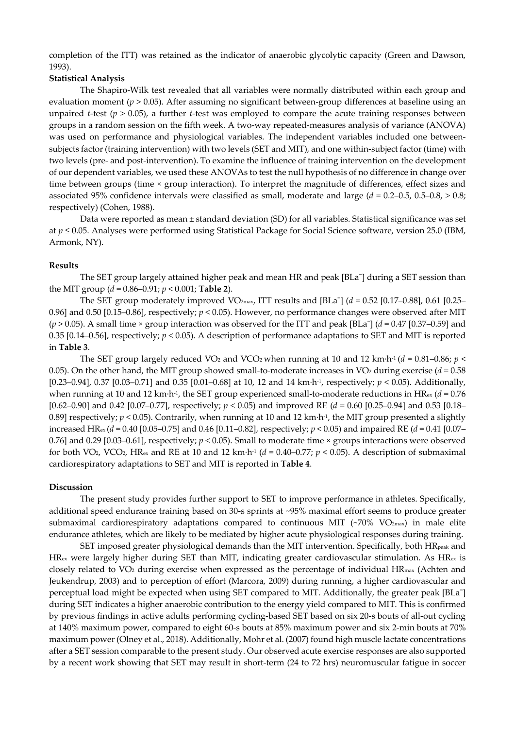completion of the ITT) was retained as the indicator of anaerobic glycolytic capacity (Green and Dawson, 1993).

## **Statistical Analysis**

The Shapiro-Wilk test revealed that all variables were normally distributed within each group and evaluation moment (*p* > 0.05). After assuming no significant between-group differences at baseline using an unpaired *t*-test (*p* > 0.05), a further *t*-test was employed to compare the acute training responses between groups in a random session on the fifth week. A two-way repeated-measures analysis of variance (ANOVA) was used on performance and physiological variables. The independent variables included one betweensubjects factor (training intervention) with two levels (SET and MIT), and one within-subject factor (time) with two levels (pre- and post-intervention). To examine the influence of training intervention on the development of our dependent variables, we used these ANOVAs to test the null hypothesis of no difference in change over time between groups (time × group interaction). To interpret the magnitude of differences, effect sizes and associated 95% confidence intervals were classified as small, moderate and large (*d* = 0.2–0.5, 0.5–0.8, > 0.8; respectively) (Cohen, 1988).

Data were reported as mean ± standard deviation (SD) for all variables. Statistical significance was set at *p* ≤ 0.05. Analyses were performed using Statistical Package for Social Science software, version 25.0 (IBM, Armonk, NY).

## **Results**

The SET group largely attained higher peak and mean HR and peak [BLa<sup>-</sup>] during a SET session than the MIT group  $(d = 0.86 - 0.91; p < 0.001;$  **Table 2**).

The SET group moderately improved VO<sub>2max</sub>, ITT results and [BLa<sup>-</sup>] ( $d = 0.52$  [0.17–0.88], 0.61 [0.25– 0.96] and 0.50 [0.15–0.86], respectively; *p* < 0.05). However, no performance changes were observed after MIT (*p* > 0.05). A small time × group interaction was observed for the ITT and peak [BLa¯] (*d* = 0.47 [0.37–0.59] and 0.35 [0.14–0.56], respectively; *p* < 0.05). A description of performance adaptations to SET and MIT is reported in **Table 3**.

The SET group largely reduced VO<sub>2</sub> and VCO<sub>2</sub> when running at 10 and 12 km·h<sup>-1</sup> ( $d = 0.81$ –0.86;  $p <$ 0.05). On the other hand, the MIT group showed small-to-moderate increases in VO<sub>2</sub> during exercise ( $d = 0.58$ ) [0.23–0.94], 0.37 [0.03–0.71] and 0.35 [0.01–0.68] at 10, 12 and 14 km·h-1, respectively; *p* < 0.05). Additionally, when running at 10 and 12 km·h<sup>-1</sup>, the SET group experienced small-to-moderate reductions in HR<sub>ex</sub> ( $d = 0.76$ ) [0.62–0.90] and 0.42 [0.07–0.77], respectively; *p* < 0.05) and improved RE (*d* = 0.60 [0.25–0.94] and 0.53 [0.18– 0.89] respectively;  $p < 0.05$ ). Contrarily, when running at 10 and 12 km·h<sup>-1</sup>, the MIT group presented a slightly increased HRex (*d* = 0.40 [0.05–0.75] and 0.46 [0.11–0.82], respectively; *p* < 0.05) and impaired RE (*d* = 0.41 [0.07– 0.76] and 0.29 [0.03–0.61], respectively;  $p < 0.05$ ). Small to moderate time  $\times$  groups interactions were observed for both VO<sub>2</sub>, VCO<sub>2</sub>, HR<sub>ex</sub> and RE at 10 and 12 km·h<sup>-1</sup> ( $d = 0.40-0.77$ ;  $p < 0.05$ ). A description of submaximal cardiorespiratory adaptations to SET and MIT is reported in **Table 4**.

## **Discussion**

The present study provides further support to SET to improve performance in athletes. Specifically, additional speed endurance training based on 30-s sprints at ~95% maximal effort seems to produce greater submaximal cardiorespiratory adaptations compared to continuous MIT (~70% VO<sub>2max</sub>) in male elite endurance athletes, which are likely to be mediated by higher acute physiological responses during training.

SET imposed greater physiological demands than the MIT intervention. Specifically, both HR<sub>peak</sub> and  $HR_{ex}$  were largely higher during SET than MIT, indicating greater cardiovascular stimulation. As  $HR_{ex}$  is closely related to V̇O2 during exercise when expressed as the percentage of individual HRmax (Achten and Jeukendrup, 2003) and to perception of effort (Marcora, 2009) during running, a higher cardiovascular and perceptual load might be expected when using SET compared to MIT. Additionally, the greater peak [BLa¯] during SET indicates a higher anaerobic contribution to the energy yield compared to MIT. This is confirmed by previous findings in active adults performing cycling-based SET based on six 20-s bouts of all-out cycling at 140% maximum power, compared to eight 60-s bouts at 85% maximum power and six 2-min bouts at 70% maximum power (Olney et al., 2018). Additionally, Mohr et al. (2007) found high muscle lactate concentrations after a SET session comparable to the present study. Our observed acute exercise responses are also supported by a recent work showing that SET may result in short-term (24 to 72 hrs) neuromuscular fatigue in soccer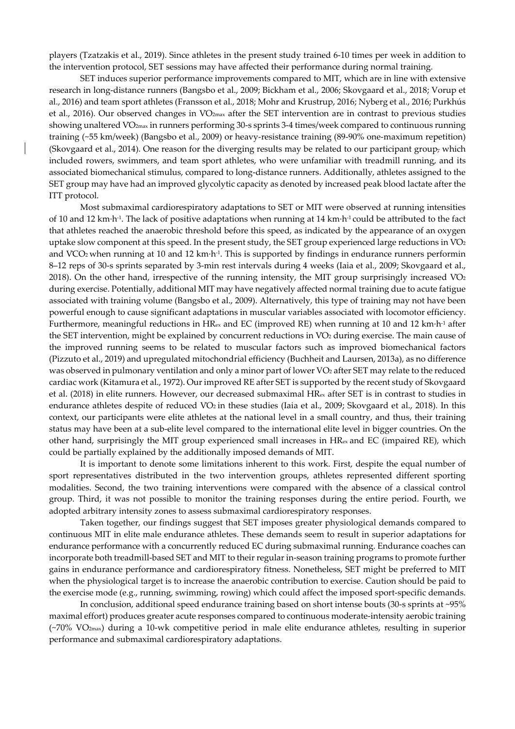players (Tzatzakis et al., 2019). Since athletes in the present study trained 6-10 times per week in addition to the intervention protocol, SET sessions may have affected their performance during normal training.

SET induces superior performance improvements compared to MIT, which are in line with extensive research in long-distance runners (Bangsbo et al., 2009; Bickham et al., 2006; Skovgaard et al., 2018; Vorup et al., 2016) and team sport athletes (Fransson et al., 2018; Mohr and Krustrup, 2016; Nyberg et al., 2016; Purkhús et al., 2016). Our observed changes in V̇O2max after the SET intervention are in contrast to previous studies showing unaltered VO<sub>2max</sub> in runners performing 30-s sprints 3-4 times/week compared to continuous running training (~55 km/week) (Bangsbo et al., 2009) or heavy-resistance training (89-90% one-maximum repetition) (Skovgaard et al., 2014). One reason for the diverging results may be related to our participant group, which included rowers, swimmers, and team sport athletes, who were unfamiliar with treadmill running, and its associated biomechanical stimulus, compared to long-distance runners. Additionally, athletes assigned to the SET group may have had an improved glycolytic capacity as denoted by increased peak blood lactate after the ITT protocol.

Most submaximal cardiorespiratory adaptations to SET or MIT were observed at running intensities of 10 and 12 km·h-1. The lack of positive adaptations when running at 14 km·h-1 could be attributed to the fact that athletes reached the anaerobic threshold before this speed, as indicated by the appearance of an oxygen uptake slow component at this speed. In the present study, the SET group experienced large reductions in  $VO<sub>2</sub>$ and VCO<sub>2</sub> when running at 10 and 12 km·h<sup>-1</sup>. This is supported by findings in endurance runners performin 8–12 reps of 30-s sprints separated by 3-min rest intervals during 4 weeks (Iaia et al., 2009; Skovgaard et al., 2018). On the other hand, irrespective of the running intensity, the MIT group surprisingly increased  $VO<sub>2</sub>$ during exercise. Potentially, additional MIT may have negatively affected normal training due to acute fatigue associated with training volume (Bangsbo et al., 2009). Alternatively, this type of training may not have been powerful enough to cause significant adaptations in muscular variables associated with locomotor efficiency. Furthermore, meaningful reductions in HRex and EC (improved RE) when running at 10 and 12 km·h-1 after the SET intervention, might be explained by concurrent reductions in VO<sub>2</sub> during exercise. The main cause of the improved running seems to be related to muscular factors such as improved biomechanical factors (Pizzuto et al., 2019) and upregulated mitochondrial efficiency (Buchheit and Laursen, 2013a), as no difference was observed in pulmonary ventilation and only a minor part of lower VO<sub>2</sub> after SET may relate to the reduced cardiac work (Kitamura et al., 1972). Our improved RE after SET is supported by the recent study of Skovgaard et al. (2018) in elite runners. However, our decreased submaximal HRex after SET is in contrast to studies in endurance athletes despite of reduced V̇O2 in these studies (Iaia et al., 2009; Skovgaard et al., 2018). In this context, our participants were elite athletes at the national level in a small country, and thus, their training status may have been at a sub-elite level compared to the international elite level in bigger countries. On the other hand, surprisingly the MIT group experienced small increases in HRex and EC (impaired RE), which could be partially explained by the additionally imposed demands of MIT.

It is important to denote some limitations inherent to this work. First, despite the equal number of sport representatives distributed in the two intervention groups, athletes represented different sporting modalities. Second, the two training interventions were compared with the absence of a classical control group. Third, it was not possible to monitor the training responses during the entire period. Fourth, we adopted arbitrary intensity zones to assess submaximal cardiorespiratory responses.

Taken together, our findings suggest that SET imposes greater physiological demands compared to continuous MIT in elite male endurance athletes. These demands seem to result in superior adaptations for endurance performance with a concurrently reduced EC during submaximal running. Endurance coaches can incorporate both treadmill-based SET and MIT to their regular in-season training programs to promote further gains in endurance performance and cardiorespiratory fitness. Nonetheless, SET might be preferred to MIT when the physiological target is to increase the anaerobic contribution to exercise. Caution should be paid to the exercise mode (e.g., running, swimming, rowing) which could affect the imposed sport-specific demands.

In conclusion, additional speed endurance training based on short intense bouts (30-s sprints at ~95% maximal effort) produces greater acute responses compared to continuous moderate-intensity aerobic training (~70% VO2max) during a 10-wk competitive period in male elite endurance athletes, resulting in superior performance and submaximal cardiorespiratory adaptations.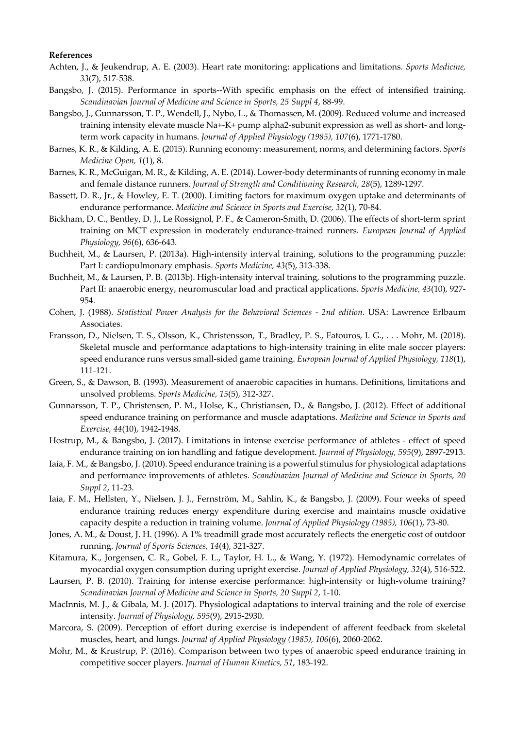### **References**

- Achten, J., & Jeukendrup, A. E. (2003). Heart rate monitoring: applications and limitations. *Sports Medicine, 33*(7), 517-538.
- Bangsbo, J. (2015). Performance in sports--With specific emphasis on the effect of intensified training. *Scandinavian Journal of Medicine and Science in Sports, 25 Suppl 4*, 88-99.
- Bangsbo, J., Gunnarsson, T. P., Wendell, J., Nybo, L., & Thomassen, M. (2009). Reduced volume and increased training intensity elevate muscle Na+-K+ pump alpha2-subunit expression as well as short- and longterm work capacity in humans. *Journal of Applied Physiology (1985), 107*(6), 1771-1780.
- Barnes, K. R., & Kilding, A. E. (2015). Running economy: measurement, norms, and determining factors. *Sports Medicine Open, 1*(1), 8.
- Barnes, K. R., McGuigan, M. R., & Kilding, A. E. (2014). Lower-body determinants of running economy in male and female distance runners. *Journal of Strength and Conditioning Research, 28*(5), 1289-1297.
- Bassett, D. R., Jr., & Howley, E. T. (2000). Limiting factors for maximum oxygen uptake and determinants of endurance performance. *Medicine and Science in Sports and Exercise, 32*(1), 70-84.
- Bickham, D. C., Bentley, D. J., Le Rossignol, P. F., & Cameron-Smith, D. (2006). The effects of short-term sprint training on MCT expression in moderately endurance-trained runners. *European Journal of Applied Physiology, 96*(6), 636-643.
- Buchheit, M., & Laursen, P. (2013a). High-intensity interval training, solutions to the programming puzzle: Part I: cardiopulmonary emphasis. *Sports Medicine, 43*(5), 313-338.
- Buchheit, M., & Laursen, P. B. (2013b). High-intensity interval training, solutions to the programming puzzle. Part II: anaerobic energy, neuromuscular load and practical applications. *Sports Medicine, 43*(10), 927- 954.
- Cohen, J. (1988). *Statistical Power Analysis for the Behavioral Sciences 2nd edition*. USA: Lawrence Erlbaum Associates.
- Fransson, D., Nielsen, T. S., Olsson, K., Christensson, T., Bradley, P. S., Fatouros, I. G., . . . Mohr, M. (2018). Skeletal muscle and performance adaptations to high-intensity training in elite male soccer players: speed endurance runs versus small-sided game training. *European Journal of Applied Physiology, 118*(1), 111-121.
- Green, S., & Dawson, B. (1993). Measurement of anaerobic capacities in humans. Definitions, limitations and unsolved problems. *Sports Medicine, 15*(5), 312-327.
- Gunnarsson, T. P., Christensen, P. M., Holse, K., Christiansen, D., & Bangsbo, J. (2012). Effect of additional speed endurance training on performance and muscle adaptations. *Medicine and Science in Sports and Exercise, 44*(10), 1942-1948.
- Hostrup, M., & Bangsbo, J. (2017). Limitations in intense exercise performance of athletes effect of speed endurance training on ion handling and fatigue development. *Journal of Physiology, 595*(9), 2897-2913.
- Iaia, F. M., & Bangsbo, J. (2010). Speed endurance training is a powerful stimulus for physiological adaptations and performance improvements of athletes. *Scandinavian Journal of Medicine and Science in Sports, 20 Suppl 2*, 11-23.
- Iaia, F. M., Hellsten, Y., Nielsen, J. J., Fernström, M., Sahlin, K., & Bangsbo, J. (2009). Four weeks of speed endurance training reduces energy expenditure during exercise and maintains muscle oxidative capacity despite a reduction in training volume. *Journal of Applied Physiology (1985), 106*(1), 73-80.
- Jones, A. M., & Doust, J. H. (1996). A 1% treadmill grade most accurately reflects the energetic cost of outdoor running. *Journal of Sports Sciences, 14*(4), 321-327.
- Kitamura, K., Jorgensen, C. R., Gobel, F. L., Taylor, H. L., & Wang, Y. (1972). Hemodynamic correlates of myocardial oxygen consumption during upright exercise. *Journal of Applied Physiology, 32*(4), 516-522.
- Laursen, P. B. (2010). Training for intense exercise performance: high-intensity or high-volume training? *Scandinavian Journal of Medicine and Science in Sports, 20 Suppl 2*, 1-10.
- MacInnis, M. J., & Gibala, M. J. (2017). Physiological adaptations to interval training and the role of exercise intensity. *Journal of Physiology, 595*(9), 2915-2930.
- Marcora, S. (2009). Perception of effort during exercise is independent of afferent feedback from skeletal muscles, heart, and lungs. *Journal of Applied Physiology (1985), 106*(6), 2060-2062.
- Mohr, M., & Krustrup, P. (2016). Comparison between two types of anaerobic speed endurance training in competitive soccer players. *Journal of Human Kinetics, 51*, 183-192.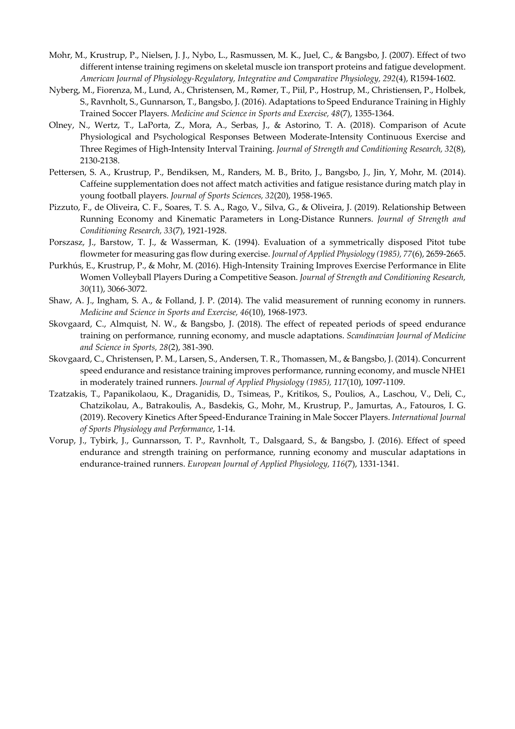- Mohr, M., Krustrup, P., Nielsen, J. J., Nybo, L., Rasmussen, M. K., Juel, C., & Bangsbo, J. (2007). Effect of two different intense training regimens on skeletal muscle ion transport proteins and fatigue development. *American Journal of Physiology-Regulatory, Integrative and Comparative Physiology, 292*(4), R1594-1602.
- Nyberg, M., Fiorenza, M., Lund, A., Christensen, M., Rømer, T., Piil, P., Hostrup, M., Christiensen, P., Holbek, S., Ravnholt, S., Gunnarson, T., Bangsbo, J. (2016). Adaptations to Speed Endurance Training in Highly Trained Soccer Players. *Medicine and Science in Sports and Exercise, 48*(7), 1355-1364.
- Olney, N., Wertz, T., LaPorta, Z., Mora, A., Serbas, J., & Astorino, T. A. (2018). Comparison of Acute Physiological and Psychological Responses Between Moderate-Intensity Continuous Exercise and Three Regimes of High-Intensity Interval Training. *Journal of Strength and Conditioning Research, 32*(8), 2130-2138.
- Pettersen, S. A., Krustrup, P., Bendiksen, M., Randers, M. B., Brito, J., Bangsbo, J., Jin, Y, Mohr, M. (2014). Caffeine supplementation does not affect match activities and fatigue resistance during match play in young football players. *Journal of Sports Sciences, 32*(20), 1958-1965.
- Pizzuto, F., de Oliveira, C. F., Soares, T. S. A., Rago, V., Silva, G., & Oliveira, J. (2019). Relationship Between Running Economy and Kinematic Parameters in Long-Distance Runners. *Journal of Strength and Conditioning Research, 33*(7), 1921-1928.
- Porszasz, J., Barstow, T. J., & Wasserman, K. (1994). Evaluation of a symmetrically disposed Pitot tube flowmeter for measuring gas flow during exercise. *Journal of Applied Physiology (1985), 77*(6), 2659-2665.
- Purkhús, E., Krustrup, P., & Mohr, M. (2016). High-Intensity Training Improves Exercise Performance in Elite Women Volleyball Players During a Competitive Season. *Journal of Strength and Conditioning Research, 30*(11), 3066-3072.
- Shaw, A. J., Ingham, S. A., & Folland, J. P. (2014). The valid measurement of running economy in runners. *Medicine and Science in Sports and Exercise, 46*(10), 1968-1973.
- Skovgaard, C., Almquist, N. W., & Bangsbo, J. (2018). The effect of repeated periods of speed endurance training on performance, running economy, and muscle adaptations. *Scandinavian Journal of Medicine and Science in Sports, 28*(2), 381-390.
- Skovgaard, C., Christensen, P. M., Larsen, S., Andersen, T. R., Thomassen, M., & Bangsbo, J. (2014). Concurrent speed endurance and resistance training improves performance, running economy, and muscle NHE1 in moderately trained runners. *Journal of Applied Physiology (1985), 117*(10), 1097-1109.
- Tzatzakis, T., Papanikolaou, K., Draganidis, D., Tsimeas, P., Kritikos, S., Poulios, A., Laschou, V., Deli, C., Chatzikolau, A., Batrakoulis, A., Basdekis, G., Mohr, M., Krustrup, P., Jamurtas, A., Fatouros, I. G. (2019). Recovery Kinetics After Speed-Endurance Training in Male Soccer Players. *International Journal of Sports Physiology and Performance*, 1-14.
- Vorup, J., Tybirk, J., Gunnarsson, T. P., Ravnholt, T., Dalsgaard, S., & Bangsbo, J. (2016). Effect of speed endurance and strength training on performance, running economy and muscular adaptations in endurance-trained runners. *European Journal of Applied Physiology, 116*(7), 1331-1341.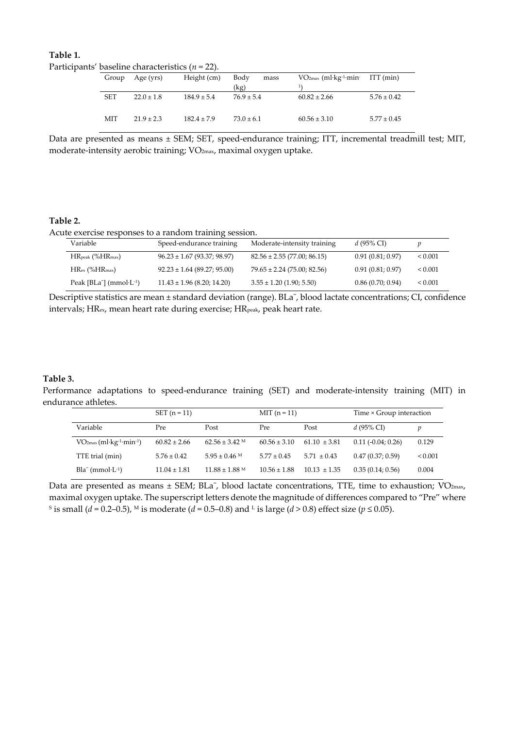| Table 1.                                             |  |
|------------------------------------------------------|--|
| Participants' baseline characteristics ( $n = 22$ ). |  |

| Group      | Age (yrs)      | Height (cm)     | Body<br>mass<br>(kg) | $VO2max$ (ml·kg <sup>-1</sup> ·min· ITT (min) |                 |
|------------|----------------|-----------------|----------------------|-----------------------------------------------|-----------------|
| <b>SET</b> | $22.0 \pm 1.8$ | $184.9 \pm 5.4$ | $76.9 \pm 5.4$       | $60.82 \pm 2.66$                              | $5.76 \pm 0.42$ |
| MIT        | $21.9 \pm 2.3$ | $182.4 \pm 7.9$ | $73.0 \pm 6.1$       | $60.56 \pm 3.10$                              | $5.77 \pm 0.45$ |

Data are presented as means ± SEM; SET, speed-endurance training; ITT, incremental treadmill test; MIT, moderate-intensity aerobic training; VO2max, maximal oxygen uptake.

## **Table 2.**

Acute exercise responses to a random training session.

| Variable                                                 | Speed-endurance training        | Moderate-intensity training     | d (95% CI)       |              |
|----------------------------------------------------------|---------------------------------|---------------------------------|------------------|--------------|
| $HR_{peak}$ (% $HR_{max}$ )                              | $96.23 \pm 1.67$ (93.37; 98.97) | $82.56 \pm 2.55$ (77.00; 86.15) | 0.91(0.81; 0.97) | ${}_{0.001}$ |
| $HR_{\rm ex}$ (% $HR_{\rm max}$ )                        | $92.23 \pm 1.64$ (89.27; 95.00) | $79.65 \pm 2.24$ (75.00; 82.56) | 0.91(0.81; 0.97) | < 0.001      |
| Peak [BLa <sup>-</sup> ] (mmol $\cdot$ L <sup>-1</sup> ) | $11.43 \pm 1.96$ (8.20; 14.20)  | $3.55 \pm 1.20$ (1.90; 5.50)    | 0.86(0.70; 0.94) | < 0.001      |

Descriptive statistics are mean ± standard deviation (range). BLa¯, blood lactate concentrations; CI, confidence intervals; HR<sub>ex</sub>, mean heart rate during exercise; HR<sub>peak</sub>, peak heart rate.

## **Table 3.**

Performance adaptations to speed-endurance training (SET) and moderate-intensity training (MIT) in endurance athletes.

|                                                    | $SET (n = 11)$   |                    | $MIT (n = 11)$   |                  | Time × Group interaction |              |
|----------------------------------------------------|------------------|--------------------|------------------|------------------|--------------------------|--------------|
| Variable                                           | Pre              | Post               | Pre              | Post             | d (95% CI)               | p            |
| $VO2max$ (ml·kg <sup>-1</sup> ·min <sup>-1</sup> ) | $60.82 \pm 2.66$ | $62.56 \pm 3.42$ M | $60.56 \pm 3.10$ | $61.10 \pm 3.81$ | $0.11(-0.04; 0.26)$      | 0.129        |
| TTE trial (min)                                    | $5.76 \pm 0.42$  | $5.95 \pm 0.46$ M  | $5.77 \pm 0.45$  | $5.71 \pm 0.43$  | 0.47(0.37; 0.59)         | ${}_{0.001}$ |
| $Bla^{-}$ (mmol $L^{-1}$ )                         | $11.04 \pm 1.81$ | $11.88 \pm 1.88$ M | $10.56 \pm 1.88$ | $10.13 \pm 1.35$ | 0.35(0.14; 0.56)         | 0.004        |

Data are presented as means ± SEM; BLa<sup>-</sup>, blood lactate concentrations, TTE, time to exhaustion; VO<sub>2max</sub>, maximal oxygen uptake. The superscript letters denote the magnitude of differences compared to "Pre" where <sup>S</sup> is small (*d* = 0.2–0.5), <sup>M</sup> is moderate (*d* = 0.5–0.8) and <sup>L</sup> is large (*d* > 0.8) effect size (*p* ≤ 0.05).